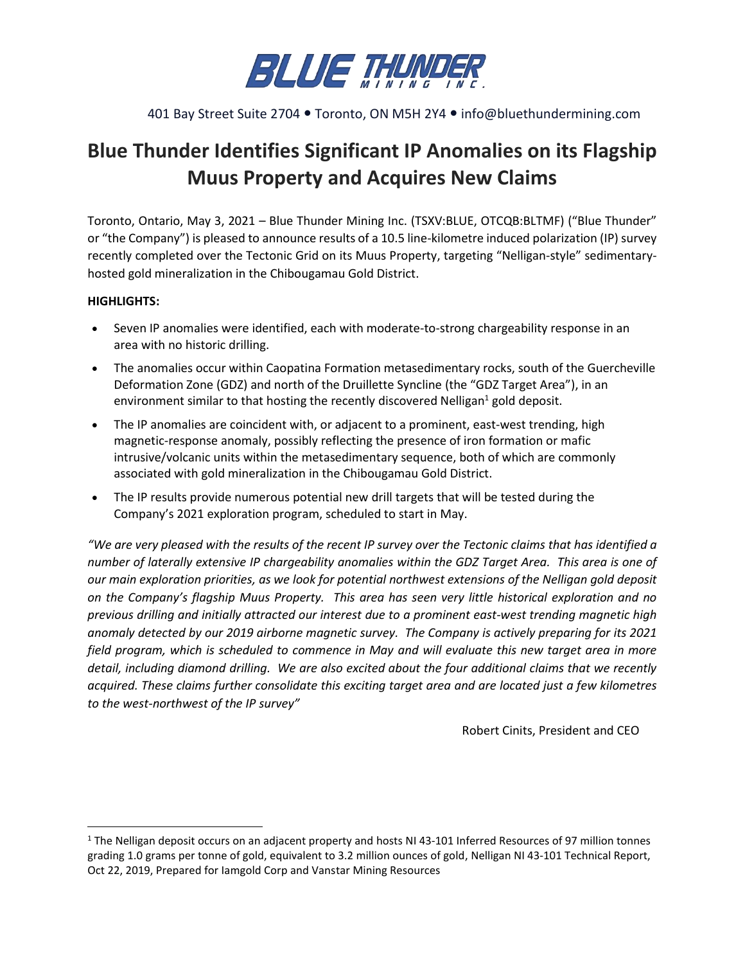

401 Bay Street Suite 2704 · Toronto, ON M5H 2Y4 · info@bluethundermining.com

# **Blue Thunder Identifies Significant IP Anomalies on its Flagship Muus Property and Acquires New Claims**

Toronto, Ontario, May 3, 2021 – Blue Thunder Mining Inc. (TSXV:BLUE, OTCQB:BLTMF) ("Blue Thunder" or "the Company") is pleased to announce results of a 10.5 line-kilometre induced polarization (IP) survey recently completed over the Tectonic Grid on its Muus Property, targeting "Nelligan-style" sedimentaryhosted gold mineralization in the Chibougamau Gold District.

#### **HIGHLIGHTS:**

- Seven IP anomalies were identified, each with moderate-to-strong chargeability response in an area with no historic drilling.
- The anomalies occur within Caopatina Formation metasedimentary rocks, south of the Guercheville Deformation Zone (GDZ) and north of the Druillette Syncline (the "GDZ Target Area"), in an environment similar to that hosting the recently discovered Nelligan<sup>1</sup> gold deposit.
- The IP anomalies are coincident with, or adjacent to a prominent, east-west trending, high magnetic-response anomaly, possibly reflecting the presence of iron formation or mafic intrusive/volcanic units within the metasedimentary sequence, both of which are commonly associated with gold mineralization in the Chibougamau Gold District.
- The IP results provide numerous potential new drill targets that will be tested during the Company's 2021 exploration program, scheduled to start in May.

*"We are very pleased with the results of the recent IP survey over the Tectonic claims that has identified a number of laterally extensive IP chargeability anomalies within the GDZ Target Area. This area is one of our main exploration priorities, as we look for potential northwest extensions of the Nelligan gold deposit on the Company's flagship Muus Property. This area has seen very little historical exploration and no previous drilling and initially attracted our interest due to a prominent east-west trending magnetic high anomaly detected by our 2019 airborne magnetic survey. The Company is actively preparing for its 2021 field program, which is scheduled to commence in May and will evaluate this new target area in more detail, including diamond drilling. We are also excited about the four additional claims that we recently acquired. These claims further consolidate this exciting target area and are located just a few kilometres to the west-northwest of the IP survey"*

Robert Cinits, President and CEO

<sup>&</sup>lt;sup>1</sup> The Nelligan deposit occurs on an adjacent property and hosts NI 43-101 Inferred Resources of 97 million tonnes grading 1.0 grams per tonne of gold, equivalent to 3.2 million ounces of gold, Nelligan NI 43-101 Technical Report, Oct 22, 2019, Prepared for Iamgold Corp and Vanstar Mining Resources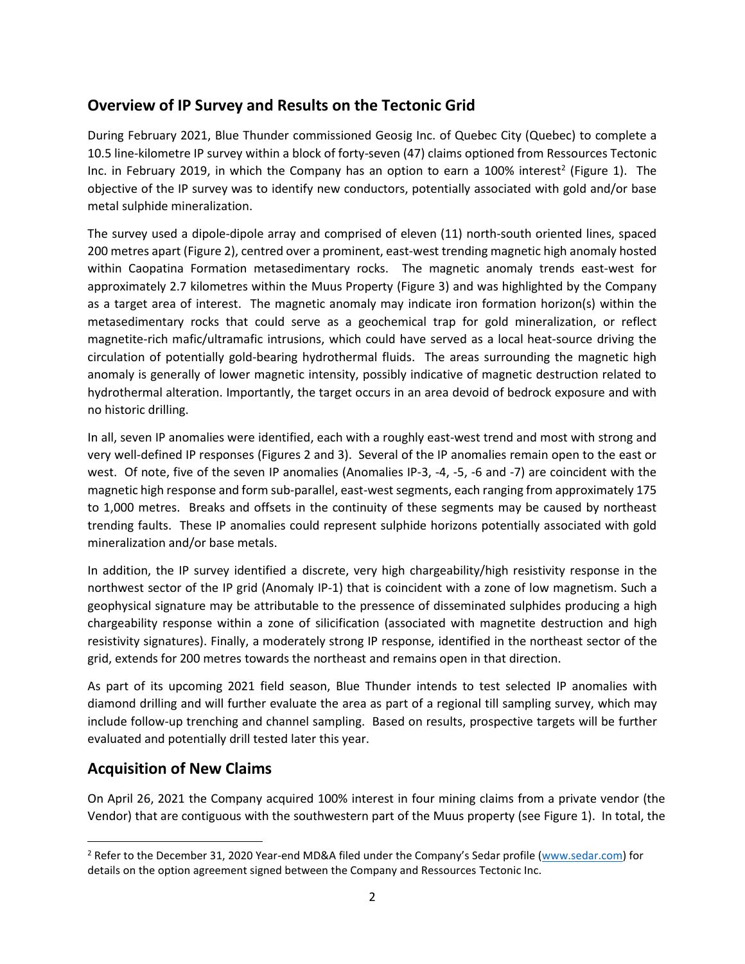## **Overview of IP Survey and Results on the Tectonic Grid**

During February 2021, Blue Thunder commissioned Geosig Inc. of Quebec City (Quebec) to complete a 10.5 line-kilometre IP survey within a block of forty-seven (47) claims optioned from Ressources Tectonic Inc. in February 2019, in which the Company has an option to earn a 100% interest<sup>2</sup> (Figure 1). The objective of the IP survey was to identify new conductors, potentially associated with gold and/or base metal sulphide mineralization.

The survey used a dipole-dipole array and comprised of eleven (11) north-south oriented lines, spaced 200 metres apart (Figure 2), centred over a prominent, east-west trending magnetic high anomaly hosted within Caopatina Formation metasedimentary rocks. The magnetic anomaly trends east-west for approximately 2.7 kilometres within the Muus Property (Figure 3) and was highlighted by the Company as a target area of interest. The magnetic anomaly may indicate iron formation horizon(s) within the metasedimentary rocks that could serve as a geochemical trap for gold mineralization, or reflect magnetite-rich mafic/ultramafic intrusions, which could have served as a local heat-source driving the circulation of potentially gold-bearing hydrothermal fluids. The areas surrounding the magnetic high anomaly is generally of lower magnetic intensity, possibly indicative of magnetic destruction related to hydrothermal alteration. Importantly, the target occurs in an area devoid of bedrock exposure and with no historic drilling.

In all, seven IP anomalies were identified, each with a roughly east-west trend and most with strong and very well-defined IP responses (Figures 2 and 3). Several of the IP anomalies remain open to the east or west. Of note, five of the seven IP anomalies (Anomalies IP-3, -4, -5, -6 and -7) are coincident with the magnetic high response and form sub-parallel, east-west segments, each ranging from approximately 175 to 1,000 metres. Breaks and offsets in the continuity of these segments may be caused by northeast trending faults. These IP anomalies could represent sulphide horizons potentially associated with gold mineralization and/or base metals.

In addition, the IP survey identified a discrete, very high chargeability/high resistivity response in the northwest sector of the IP grid (Anomaly IP-1) that is coincident with a zone of low magnetism. Such a geophysical signature may be attributable to the pressence of disseminated sulphides producing a high chargeability response within a zone of silicification (associated with magnetite destruction and high resistivity signatures). Finally, a moderately strong IP response, identified in the northeast sector of the grid, extends for 200 metres towards the northeast and remains open in that direction.

As part of its upcoming 2021 field season, Blue Thunder intends to test selected IP anomalies with diamond drilling and will further evaluate the area as part of a regional till sampling survey, which may include follow-up trenching and channel sampling. Based on results, prospective targets will be further evaluated and potentially drill tested later this year.

## **Acquisition of New Claims**

On April 26, 2021 the Company acquired 100% interest in four mining claims from a private vendor (the Vendor) that are contiguous with the southwestern part of the Muus property (see Figure 1). In total, the

<sup>&</sup>lt;sup>2</sup> Refer to the December 31, 2020 Year-end MD&A filed under the Company's Sedar profile ([www.sedar.com\)](http://www.sedar.com/) for details on the option agreement signed between the Company and Ressources Tectonic Inc.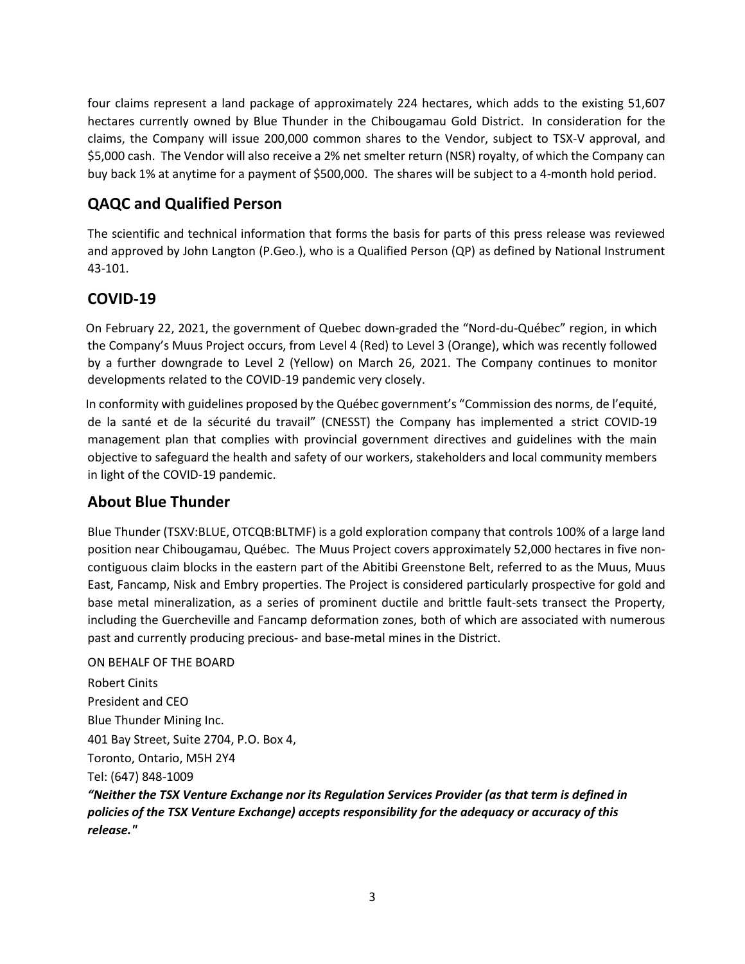four claims represent a land package of approximately 224 hectares, which adds to the existing 51,607 hectares currently owned by Blue Thunder in the Chibougamau Gold District. In consideration for the claims, the Company will issue 200,000 common shares to the Vendor, subject to TSX-V approval, and \$5,000 cash. The Vendor will also receive a 2% net smelter return (NSR) royalty, of which the Company can buy back 1% at anytime for a payment of \$500,000. The shares will be subject to a 4-month hold period.

#### **QAQC and Qualified Person**

The scientific and technical information that forms the basis for parts of this press release was reviewed and approved by John Langton (P.Geo.), who is a Qualified Person (QP) as defined by National Instrument 43-101.

## **COVID-19**

On February 22, 2021, the government of Quebec down-graded the "Nord-du-Québec" region, in which the Company's Muus Project occurs, from Level 4 (Red) to Level 3 (Orange), which was recently followed by a further downgrade to Level 2 (Yellow) on March 26, 2021. The Company continues to monitor developments related to the COVID-19 pandemic very closely.

In conformity with guidelines proposed by the Québec government's "Commission des norms, de l'equité, de la santé et de la sécurité du travail" (CNESST) the Company has implemented a strict COVID-19 management plan that complies with provincial government directives and guidelines with the main objective to safeguard the health and safety of our workers, stakeholders and local community members in light of the COVID-19 pandemic.

#### **About Blue Thunder**

Blue Thunder (TSXV:BLUE, OTCQB:BLTMF) is a gold exploration company that controls 100% of a large land position near Chibougamau, Québec. The Muus Project covers approximately 52,000 hectares in five noncontiguous claim blocks in the eastern part of the Abitibi Greenstone Belt, referred to as the Muus, Muus East, Fancamp, Nisk and Embry properties. The Project is considered particularly prospective for gold and base metal mineralization, as a series of prominent ductile and brittle fault‐sets transect the Property, including the Guercheville and Fancamp deformation zones, both of which are associated with numerous past and currently producing precious‐ and base‐metal mines in the District.

ON BEHALF OF THE BOARD Robert Cinits President and CEO Blue Thunder Mining Inc. 401 Bay Street, Suite 2704, P.O. Box 4, Toronto, Ontario, M5H 2Y4 Tel: (647) 848-1009 *"Neither the TSX Venture Exchange nor its Regulation Services Provider (as that term is defined in policies of the TSX Venture Exchange) accepts responsibility for the adequacy or accuracy of this release."*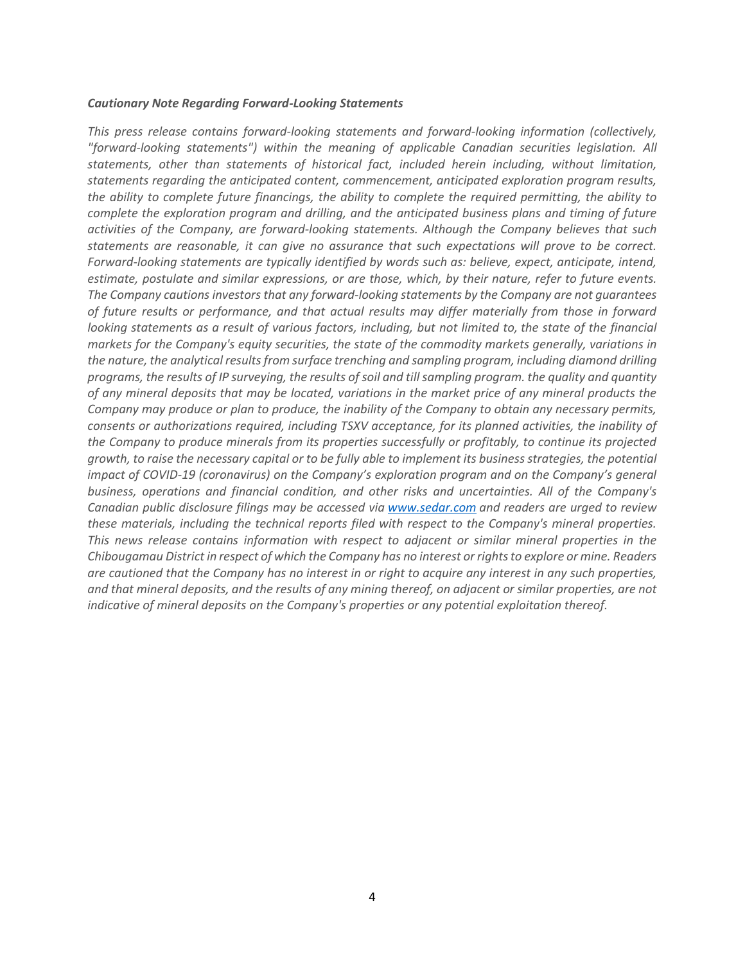#### *Cautionary Note Regarding Forward-Looking Statements*

*This press release contains forward-looking statements and forward-looking information (collectively, "forward-looking statements") within the meaning of applicable Canadian securities legislation. All statements, other than statements of historical fact, included herein including, without limitation, statements regarding the anticipated content, commencement, anticipated exploration program results, the ability to complete future financings, the ability to complete the required permitting, the ability to complete the exploration program and drilling, and the anticipated business plans and timing of future activities of the Company, are forward-looking statements. Although the Company believes that such statements are reasonable, it can give no assurance that such expectations will prove to be correct. Forward-looking statements are typically identified by words such as: believe, expect, anticipate, intend, estimate, postulate and similar expressions, or are those, which, by their nature, refer to future events. The Company cautions investors that any forward-looking statements by the Company are not guarantees of future results or performance, and that actual results may differ materially from those in forward looking statements as a result of various factors, including, but not limited to, the state of the financial markets for the Company's equity securities, the state of the commodity markets generally, variations in the nature, the analytical results from surface trenching and sampling program, including diamond drilling programs, the results of IP surveying, the results of soil and till sampling program. the quality and quantity of any mineral deposits that may be located, variations in the market price of any mineral products the Company may produce or plan to produce, the inability of the Company to obtain any necessary permits, consents or authorizations required, including TSXV acceptance, for its planned activities, the inability of the Company to produce minerals from its properties successfully or profitably, to continue its projected growth, to raise the necessary capital or to be fully able to implement its business strategies, the potential impact of COVID-19 (coronavirus) on the Company's exploration program and on the Company's general business, operations and financial condition, and other risks and uncertainties. All of the Company's Canadian public disclosure filings may be accessed via [www.sedar.com](http://www.sedar.com/) and readers are urged to review these materials, including the technical reports filed with respect to the Company's mineral properties. This news release contains information with respect to adjacent or similar mineral properties in the Chibougamau District in respect of which the Company has no interest or rights to explore or mine. Readers are cautioned that the Company has no interest in or right to acquire any interest in any such properties, and that mineral deposits, and the results of any mining thereof, on adjacent or similar properties, are not indicative of mineral deposits on the Company's properties or any potential exploitation thereof.*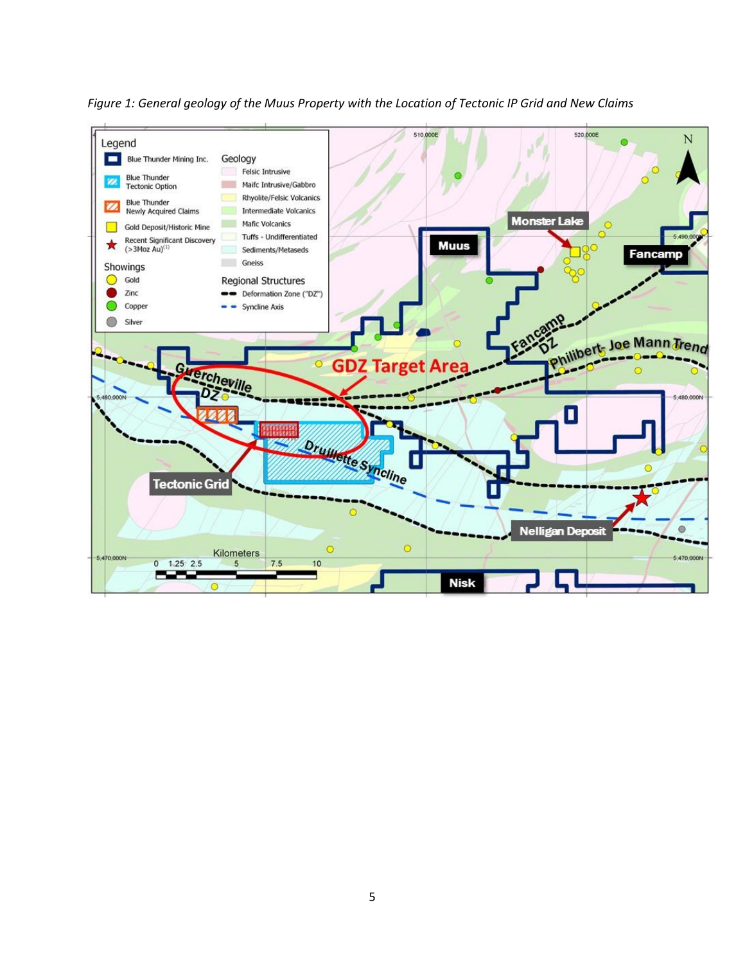

*Figure 1: General geology of the Muus Property with the Location of Tectonic IP Grid and New Claims*